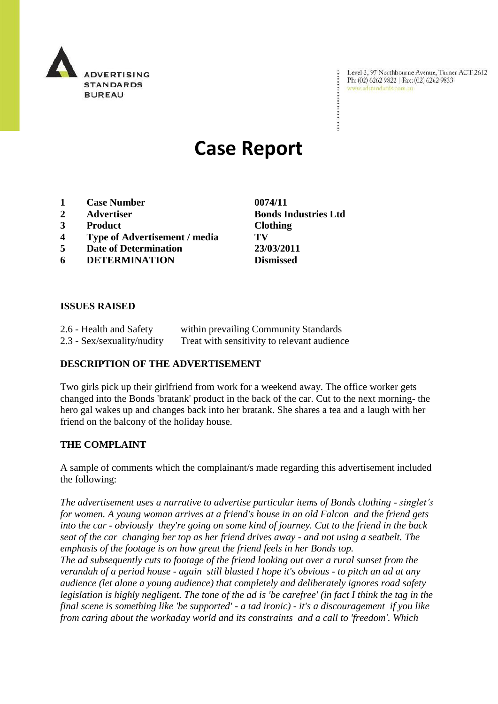

Level 2, 97 Northbourne Avenue, Turner ACT 2612 Ph: (02) 6262 9822 | Fax: (02) 6262 9833 www.adstandards.com.au

# **Case Report**

- **1 Case Number 0074/11**
- **2 Advertiser Bonds Industries Ltd**
- **3 Product Clothing**
- **4 Type of Advertisement / media TV**
- **5 Date of Determination 23/03/2011**
- **6 DETERMINATION Dismissed**

 $\ddot{\cdot}$ 

### **ISSUES RAISED**

| 2.6 - Health and Safety    | within prevailing Community Standards       |
|----------------------------|---------------------------------------------|
| 2.3 - Sex/sexuality/nudity | Treat with sensitivity to relevant audience |

### **DESCRIPTION OF THE ADVERTISEMENT**

Two girls pick up their girlfriend from work for a weekend away. The office worker gets changed into the Bonds 'bratank' product in the back of the car. Cut to the next morning- the hero gal wakes up and changes back into her bratank. She shares a tea and a laugh with her friend on the balcony of the holiday house.

### **THE COMPLAINT**

A sample of comments which the complainant/s made regarding this advertisement included the following:

*The advertisement uses a narrative to advertise particular items of Bonds clothing - singlet's for women. A young woman arrives at a friend's house in an old Falcon and the friend gets into the car - obviously they're going on some kind of journey. Cut to the friend in the back seat of the car changing her top as her friend drives away - and not using a seatbelt. The emphasis of the footage is on how great the friend feels in her Bonds top.* 

*The ad subsequently cuts to footage of the friend looking out over a rural sunset from the verandah of a period house - again still blasted I hope it's obvious - to pitch an ad at any audience (let alone a young audience) that completely and deliberately ignores road safety legislation is highly negligent. The tone of the ad is 'be carefree' (in fact I think the tag in the final scene is something like 'be supported' - a tad ironic) - it's a discouragement if you like from caring about the workaday world and its constraints and a call to 'freedom'. Which*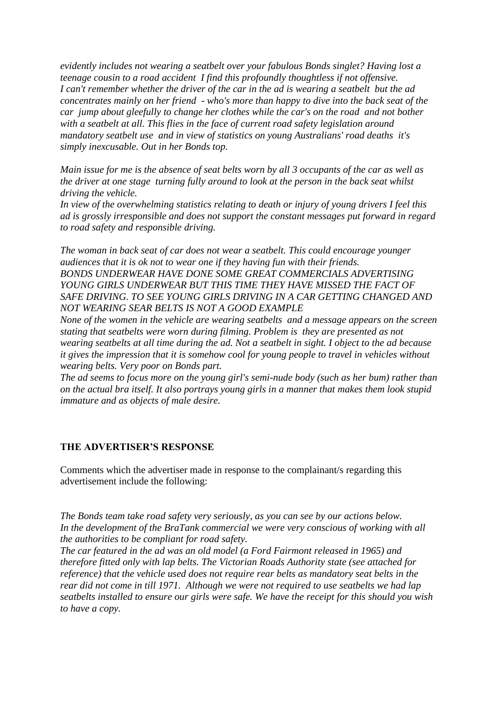*evidently includes not wearing a seatbelt over your fabulous Bonds singlet? Having lost a teenage cousin to a road accident I find this profoundly thoughtless if not offensive. I can't remember whether the driver of the car in the ad is wearing a seatbelt but the ad concentrates mainly on her friend - who's more than happy to dive into the back seat of the car jump about gleefully to change her clothes while the car's on the road and not bother with a seatbelt at all. This flies in the face of current road safety legislation around mandatory seatbelt use and in view of statistics on young Australians' road deaths it's simply inexcusable. Out in her Bonds top.*

*Main issue for me is the absence of seat belts worn by all 3 occupants of the car as well as the driver at one stage turning fully around to look at the person in the back seat whilst driving the vehicle.*

*In view of the overwhelming statistics relating to death or injury of young drivers I feel this ad is grossly irresponsible and does not support the constant messages put forward in regard to road safety and responsible driving.*

*The woman in back seat of car does not wear a seatbelt. This could encourage younger audiences that it is ok not to wear one if they having fun with their friends. BONDS UNDERWEAR HAVE DONE SOME GREAT COMMERCIALS ADVERTISING*  YOUNG GIRLS UNDERWEAR BUT THIS TIME THEY HAVE MISSED THE FACT OF SAFE DRIVING. TO SEE YOUNG GIRLS DRIVING IN A CAR GETTING CHANGED AND *NOT WEARING SEAR BELTS IS NOT A GOOD EXAMPLE*

*None of the women in the vehicle are wearing seatbelts and a message appears on the screen stating that seatbelts were worn during filming. Problem is they are presented as not wearing seatbelts at all time during the ad. Not a seatbelt in sight. I object to the ad because it gives the impression that it is somehow cool for young people to travel in vehicles without wearing belts. Very poor on Bonds part.* 

*The ad seems to focus more on the young girl's semi-nude body (such as her bum) rather than on the actual bra itself. It also portrays young girls in a manner that makes them look stupid immature and as objects of male desire.*

### **THE ADVERTISER'S RESPONSE**

Comments which the advertiser made in response to the complainant/s regarding this advertisement include the following:

*The Bonds team take road safety very seriously, as you can see by our actions below. In the development of the BraTank commercial we were very conscious of working with all the authorities to be compliant for road safety.* 

*The car featured in the ad was an old model (a Ford Fairmont released in 1965) and therefore fitted only with lap belts. The Victorian Roads Authority state (see attached for reference) that the vehicle used does not require rear belts as mandatory seat belts in the rear did not come in till 1971. Although we were not required to use seatbelts we had lap seatbelts installed to ensure our girls were safe. We have the receipt for this should you wish to have a copy.*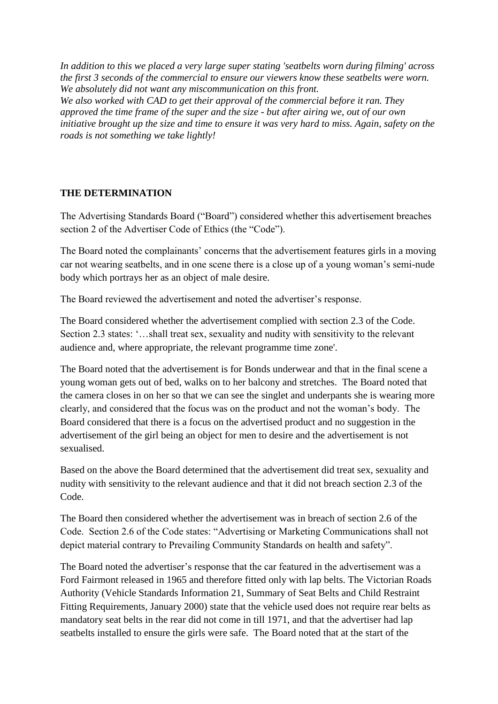*In addition to this we placed a very large super stating 'seatbelts worn during filming' across the first 3 seconds of the commercial to ensure our viewers know these seatbelts were worn. We absolutely did not want any miscommunication on this front. We also worked with CAD to get their approval of the commercial before it ran. They approved the time frame of the super and the size - but after airing we, out of our own initiative brought up the size and time to ensure it was very hard to miss. Again, safety on the roads is not something we take lightly!*

## **THE DETERMINATION**

The Advertising Standards Board ("Board") considered whether this advertisement breaches section 2 of the Advertiser Code of Ethics (the "Code").

The Board noted the complainants' concerns that the advertisement features girls in a moving car not wearing seatbelts, and in one scene there is a close up of a young woman"s semi-nude body which portrays her as an object of male desire.

The Board reviewed the advertisement and noted the advertiser"s response.

The Board considered whether the advertisement complied with section 2.3 of the Code. Section 2.3 states: "...shall treat sex, sexuality and nudity with sensitivity to the relevant audience and, where appropriate, the relevant programme time zone'.

The Board noted that the advertisement is for Bonds underwear and that in the final scene a young woman gets out of bed, walks on to her balcony and stretches. The Board noted that the camera closes in on her so that we can see the singlet and underpants she is wearing more clearly, and considered that the focus was on the product and not the woman"s body. The Board considered that there is a focus on the advertised product and no suggestion in the advertisement of the girl being an object for men to desire and the advertisement is not sexualised.

Based on the above the Board determined that the advertisement did treat sex, sexuality and nudity with sensitivity to the relevant audience and that it did not breach section 2.3 of the Code.

The Board then considered whether the advertisement was in breach of section 2.6 of the Code. Section 2.6 of the Code states: "Advertising or Marketing Communications shall not depict material contrary to Prevailing Community Standards on health and safety".

The Board noted the advertiser"s response that the car featured in the advertisement was a Ford Fairmont released in 1965 and therefore fitted only with lap belts. The Victorian Roads Authority (Vehicle Standards Information 21, Summary of Seat Belts and Child Restraint Fitting Requirements, January 2000) state that the vehicle used does not require rear belts as mandatory seat belts in the rear did not come in till 1971, and that the advertiser had lap seatbelts installed to ensure the girls were safe. The Board noted that at the start of the